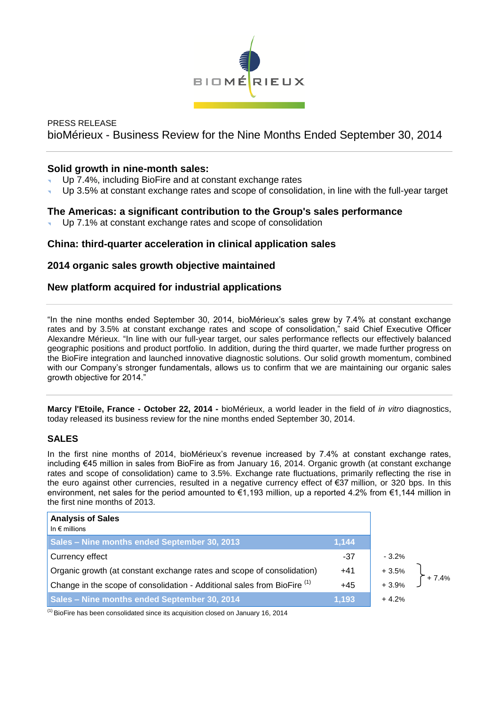

# PRESS RELEASE bioMérieux - Business Review for the Nine Months Ended September 30, 2014

# **Solid growth in nine-month sales:**

- Up 7.4%, including BioFire and at constant exchange rates
- Up 3.5% at constant exchange rates and scope of consolidation, in line with the full-year target

# **The Americas: a significant contribution to the Group's sales performance**

Up 7.1% at constant exchange rates and scope of consolidation

# **China: third-quarter acceleration in clinical application sales**

# **2014 organic sales growth objective maintained**

# **New platform acquired for industrial applications**

"In the nine months ended September 30, 2014, bioMérieux's sales grew by 7.4% at constant exchange rates and by 3.5% at constant exchange rates and scope of consolidation," said Chief Executive Officer Alexandre Mérieux. "In line with our full-year target, our sales performance reflects our effectively balanced geographic positions and product portfolio. In addition, during the third quarter, we made further progress on the BioFire integration and launched innovative diagnostic solutions. Our solid growth momentum, combined with our Company's stronger fundamentals, allows us to confirm that we are maintaining our organic sales growth objective for 2014."

**Marcy l'Etoile, France - October 22, 2014 -** bioMérieux, a world leader in the field of *in vitro* diagnostics, today released its business review for the nine months ended September 30, 2014.

# **SALES**

In the first nine months of 2014, bioMérieux's revenue increased by 7.4% at constant exchange rates, including €45 million in sales from BioFire as from January 16, 2014. Organic growth (at constant exchange rates and scope of consolidation) came to 3.5%. Exchange rate fluctuations, primarily reflecting the rise in the euro against other currencies, resulted in a negative currency effect of €37 million, or 320 bps. In this environment, net sales for the period amounted to €1,193 million, up a reported 4.2% from €1,144 million in the first nine months of 2013.

| <b>Analysis of Sales</b><br>In $\epsilon$ millions                         |       |                    |         |
|----------------------------------------------------------------------------|-------|--------------------|---------|
| Sales - Nine months ended September 30, 2013                               | 1,144 |                    |         |
| Currency effect                                                            | $-37$ | $-3.2%$            |         |
| Organic growth (at constant exchange rates and scope of consolidation)     | $+41$ | $+3.5%$<br>$+3.9%$ | $+7.4%$ |
| Change in the scope of consolidation - Additional sales from BioFire $(1)$ | $+45$ |                    |         |
| Sales - Nine months ended September 30, 2014                               | 1,193 | $+4.2%$            |         |

 $<sup>(1)</sup>$  BioFire has been consolidated since its acquisition closed on January 16, 2014</sup>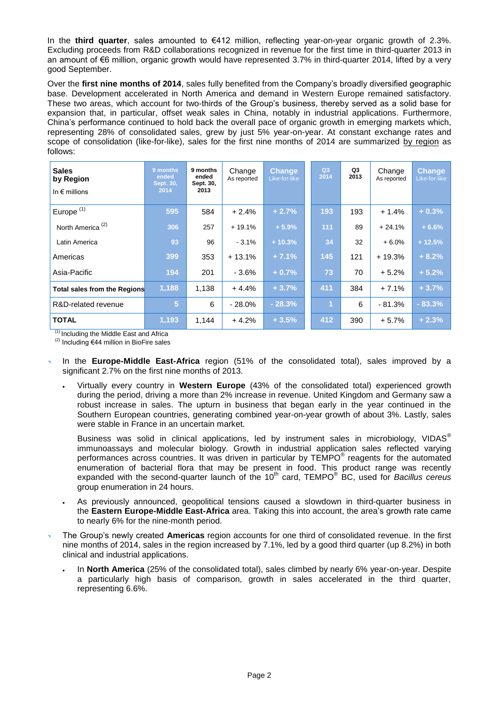In the **third quarter**, sales amounted to €412 million, reflecting year-on-year organic growth of 2.3%. Excluding proceeds from R&D collaborations recognized in revenue for the first time in third-quarter 2013 in an amount of €6 million, organic growth would have represented 3.7% in third-quarter 2014, lifted by a very good September.

Over the **first nine months of 2014**, sales fully benefited from the Company's broadly diversified geographic base. Development accelerated in North America and demand in Western Europe remained satisfactory. These two areas, which account for two-thirds of the Group's business, thereby served as a solid base for expansion that, in particular, offset weak sales in China, notably in industrial applications. Furthermore, China's performance continued to hold back the overall pace of organic growth in emerging markets which, representing 28% of consolidated sales, grew by just 5% year-on-year. At constant exchange rates and scope of consolidation (like-for-like), sales for the first nine months of 2014 are summarized by region as follows:

| <b>Sales</b><br>by Region<br>In $\epsilon$ millions | 9 months<br>ended<br>Sept. 30,<br>2014 | 9 months<br>ended<br>Sept. 30,<br>2013 | Change<br>As reported | <b>Change</b><br>Like-for-like | Q3<br>2014 |                | Q3<br>2013 | Change<br>As reported | <b>Change</b><br>Like-for-like |
|-----------------------------------------------------|----------------------------------------|----------------------------------------|-----------------------|--------------------------------|------------|----------------|------------|-----------------------|--------------------------------|
| Europe <sup>(1)</sup>                               | 595                                    | 584                                    | $+2.4%$               | $+2.7%$                        | 193        |                | 193        | $+1.4%$               | $+0.3%$                        |
| North America <sup>(2)</sup>                        | 306                                    | 257                                    | $+19.1%$              | $+5.9%$                        | 111        |                | 89         | $+24.1%$              | $+6.6%$                        |
| Latin America                                       | 93                                     | 96                                     | $-3.1%$               | $+10.3%$                       |            | 34             | 32         | $+6.0%$               | $+12.5%$                       |
| Americas                                            | 399                                    | 353                                    | $+13.1%$              | $+7.1%$                        | 145        |                | 121        | + 19.3%               | $+8.2%$                        |
| Asia-Pacific                                        | 194                                    | 201                                    | - 3.6%                | $+0.7%$                        | 73         |                | 70         | $+5.2%$               | $+5.2%$                        |
| <b>Total sales from the Regions</b>                 | 1,188                                  | 1,138                                  | $+4.4%$               | $+3.7%$                        | 411        |                | 384        | $+7.1%$               | $+3.7%$                        |
| R&D-related revenue                                 | 5                                      | 6                                      | $-28.0%$              | $-28.3%$                       |            | $\overline{1}$ | 6          | $-81.3%$              | $-83.3%$                       |
| <b>TOTAL</b>                                        | 1,193                                  | 1.144                                  | $+4.2%$               | $+3.5%$                        | 412        |                | 390        | $+5.7%$               | $+2.3%$                        |

 $<sup>(1)</sup>$  Including the Middle East and Africa</sup>

 $(2)$  Including €44 million in BioFire sales

- In the **Europe-Middle East-Africa** region (51% of the consolidated total), sales improved by a significant 2.7% on the first nine months of 2013.
	- Virtually every country in **Western Europe** (43% of the consolidated total) experienced growth during the period, driving a more than 2% increase in revenue. United Kingdom and Germany saw a robust increase in sales. The upturn in business that began early in the year continued in the Southern European countries, generating combined year-on-year growth of about 3%. Lastly, sales were stable in France in an uncertain market.

Business was solid in clinical applications, led by instrument sales in microbiology, VIDAS<sup>®</sup> immunoassays and molecular biology. Growth in industrial application sales reflected varying performances across countries. It was driven in particular by TEMPO<sup>®</sup> reagents for the automated enumeration of bacterial flora that may be present in food. This product range was recently expanded with the second-quarter launch of the 10<sup>th</sup> card, TEMPO<sup>®</sup> BC, used for *Bacillus cereus* group enumeration in 24 hours.

- As previously announced, geopolitical tensions caused a slowdown in third-quarter business in the **Eastern Europe-Middle East-Africa** area. Taking this into account, the area's growth rate came to nearly 6% for the nine-month period.
- The Group's newly created **Americas** region accounts for one third of consolidated revenue. In the first nine months of 2014, sales in the region increased by 7.1%, led by a good third quarter (up 8.2%) in both clinical and industrial applications.
	- In **North America** (25% of the consolidated total), sales climbed by nearly 6% year-on-year. Despite a particularly high basis of comparison, growth in sales accelerated in the third quarter, representing 6.6%.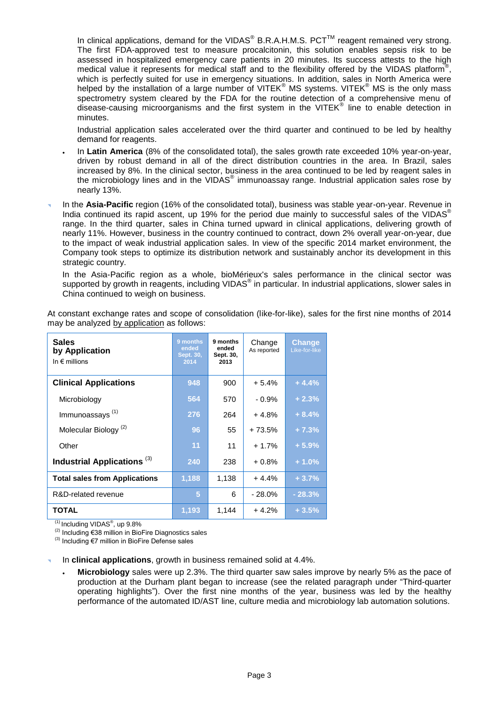In clinical applications, demand for the VIDAS® B.R.A.H.M.S. PCT<sup>™</sup> reagent remained very strong. The first FDA-approved test to measure procalcitonin, this solution enables sepsis risk to be assessed in hospitalized emergency care patients in 20 minutes. Its success attests to the high medical value it represents for medical staff and to the flexibility offered by the VIDAS platform®, which is perfectly suited for use in emergency situations. In addition, sales in North America were helped by the installation of a large number of VITEK® MS systems. VITEK® MS is the only mass spectrometry system cleared by the FDA for the routine detection of a comprehensive menu of disease-causing microorganisms and the first system in the VITEK® line to enable detection in minutes.

Industrial application sales accelerated over the third quarter and continued to be led by healthy demand for reagents.

- In **Latin America** (8% of the consolidated total), the sales growth rate exceeded 10% year-on-year, driven by robust demand in all of the direct distribution countries in the area. In Brazil, sales increased by 8%. In the clinical sector, business in the area continued to be led by reagent sales in the microbiology lines and in the VIDAS® immunoassay range. Industrial application sales rose by nearly 13%.
- In the **Asia-Pacific** region (16% of the consolidated total), business was stable year-on-year. Revenue in India continued its rapid ascent, up 19% for the period due mainly to successful sales of the VIDAS<sup>®</sup> range. In the third quarter, sales in China turned upward in clinical applications, delivering growth of nearly 11%. However, business in the country continued to contract, down 2% overall year-on-year, due to the impact of weak industrial application sales. In view of the specific 2014 market environment, the Company took steps to optimize its distribution network and sustainably anchor its development in this strategic country.

In the Asia-Pacific region as a whole, bioMérieux's sales performance in the clinical sector was supported by growth in reagents, including VIDAS<sup>®</sup> in particular. In industrial applications, slower sales in China continued to weigh on business.

| Sales<br>by Application<br>In $\epsilon$ millions | 9 months<br>ended<br>Sept. 30,<br>2014 | 9 months<br>ended<br>Sept. 30,<br>2013 | Change<br>As reported | <b>Change</b><br>Like-for-like |
|---------------------------------------------------|----------------------------------------|----------------------------------------|-----------------------|--------------------------------|
| <b>Clinical Applications</b>                      | 948                                    | 900                                    | $+5.4%$               | $+4.4%$                        |
| Microbiology                                      | 564                                    | 570                                    | $-0.9\%$              | $+2.3%$                        |
| Immunoassays <sup>(1)</sup>                       | 276                                    | 264                                    | $+4.8%$               | $+8.4%$                        |
| Molecular Biology <sup>(2)</sup>                  | 96                                     | 55                                     | $+73.5%$              | $+7.3%$                        |
| Other                                             | 11                                     | 11                                     | $+1.7%$               | $+5.9%$                        |
| Industrial Applications <sup>(3)</sup>            | 240                                    | 238                                    | $+0.8%$               | $+1.0%$                        |
| <b>Total sales from Applications</b>              | 1,188                                  | 1,138                                  | $+4.4%$               | $+3.7%$                        |
| R&D-related revenue                               | 5                                      | 6                                      | $-28.0%$              | $-28.3%$                       |
| TOTAL                                             | 1,193                                  | 1,144                                  | $+4.2%$               | $+3.5%$                        |

At constant exchange rates and scope of consolidation (like-for-like), sales for the first nine months of 2014 may be analyzed by application as follows:

 $<sup>(1)</sup>$  Including VIDAS<sup>®</sup>, up 9.8%</sup>

(2) Including €38 million in BioFire Diagnostics sales

(3) Including  $\epsilon$ 7 million in BioFire Defense sales

In **clinical applications**, growth in business remained solid at 4.4%.

 **Microbiology** sales were up 2.3%. The third quarter saw sales improve by nearly 5% as the pace of production at the Durham plant began to increase (see the related paragraph under "Third-quarter operating highlights"). Over the first nine months of the year, business was led by the healthy performance of the automated ID/AST line, culture media and microbiology lab automation solutions.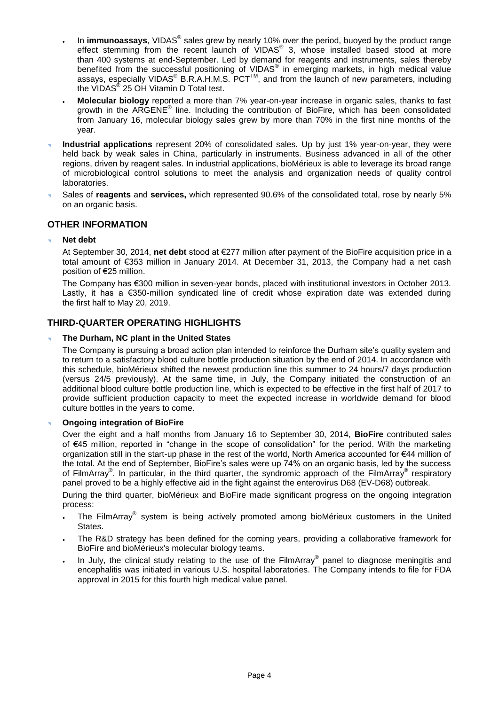- . In immunoassays, VIDAS<sup>®</sup> sales grew by nearly 10% over the period, buoyed by the product range effect stemming from the recent launch of VIDAS<sup>®</sup> 3, whose installed based stood at more than 400 systems at end-September. Led by demand for reagents and instruments, sales thereby benefited from the successful positioning of VIDAS® in emerging markets, in high medical value assays, especially VIDAS<sup>®</sup> B.R.A.H.M.S. PCT<sup>™</sup>, and from the launch of new parameters, including the VIDAS<sup>®</sup> 25 OH Vitamin D Total test.
- **Molecular biology** reported a more than 7% year-on-year increase in organic sales, thanks to fast growth in the ARGENE<sup>®</sup> line. Including the contribution of BioFire, which has been consolidated from January 16, molecular biology sales grew by more than 70% in the first nine months of the year.
- **Industrial applications** represent 20% of consolidated sales. Up by just 1% year-on-year, they were held back by weak sales in China, particularly in instruments. Business advanced in all of the other regions, driven by reagent sales. In industrial applications, bioMérieux is able to leverage its broad range of microbiological control solutions to meet the analysis and organization needs of quality control laboratories.
- Sales of **reagents** and **services,** which represented 90.6% of the consolidated total, rose by nearly 5% on an organic basis.

## **OTHER INFORMATION**

**Net debt**

At September 30, 2014, **net debt** stood at €277 million after payment of the BioFire acquisition price in a total amount of €353 million in January 2014. At December 31, 2013, the Company had a net cash position of €25 million.

The Company has €300 million in seven-year bonds, placed with institutional investors in October 2013. Lastly, it has a €350-million syndicated line of credit whose expiration date was extended during the first half to May 20, 2019.

## **THIRD-QUARTER OPERATING HIGHLIGHTS**

### **The Durham, NC plant in the United States**

The Company is pursuing a broad action plan intended to reinforce the Durham site's quality system and to return to a satisfactory blood culture bottle production situation by the end of 2014. In accordance with this schedule, bioMérieux shifted the newest production line this summer to 24 hours/7 days production (versus 24/5 previously). At the same time, in July, the Company initiated the construction of an additional blood culture bottle production line, which is expected to be effective in the first half of 2017 to provide sufficient production capacity to meet the expected increase in worldwide demand for blood culture bottles in the years to come.

### **Ongoing integration of BioFire**

Over the eight and a half months from January 16 to September 30, 2014, **BioFire** contributed sales of €45 million, reported in "change in the scope of consolidation" for the period. With the marketing organization still in the start-up phase in the rest of the world, North America accounted for €44 million of the total. At the end of September, BioFire's sales were up 74% on an organic basis, led by the success of FilmArray<sup>®</sup>. In particular, in the third quarter, the syndromic approach of the FilmArray<sup>®</sup> respiratory panel proved to be a highly effective aid in the fight against the enterovirus D68 (EV-D68) outbreak.

During the third quarter, bioMérieux and BioFire made significant progress on the ongoing integration process:

- The FilmArray® system is being actively promoted among bioMérieux customers in the United States.
- The R&D strategy has been defined for the coming years, providing a collaborative framework for BioFire and bioMérieux's molecular biology teams.
- $\cdot$  In July, the clinical study relating to the use of the FilmArray® panel to diagnose meningitis and encephalitis was initiated in various U.S. hospital laboratories. The Company intends to file for FDA approval in 2015 for this fourth high medical value panel.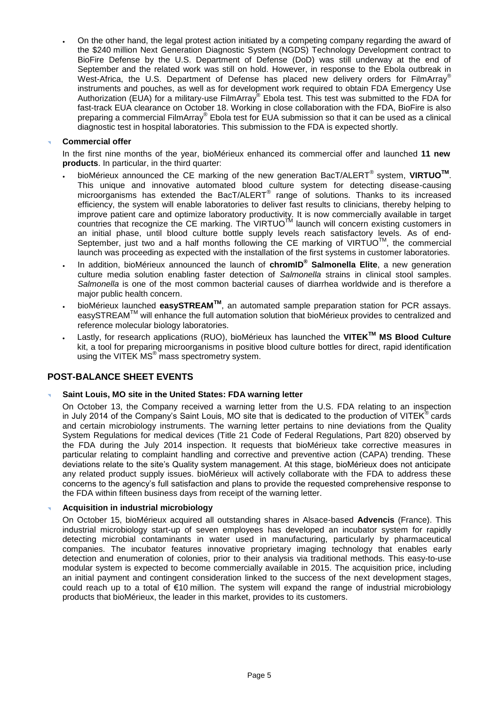On the other hand, the legal protest action initiated by a competing company regarding the award of the \$240 million Next Generation Diagnostic System (NGDS) Technology Development contract to BioFire Defense by the U.S. Department of Defense (DoD) was still underway at the end of September and the related work was still on hold. However, in response to the Ebola outbreak in West-Africa, the U.S. Department of Defense has placed new delivery orders for FilmArray® instruments and pouches, as well as for development work required to obtain FDA Emergency Use Authorization (EUA) for a military-use FilmArray® Ebola test. This test was submitted to the FDA for fast-track EUA clearance on October 18. Working in close collaboration with the FDA, BioFire is also preparing a commercial FilmArray® Ebola test for EUA submission so that it can be used as a clinical diagnostic test in hospital laboratories. This submission to the FDA is expected shortly.

### **Commercial offer**

In the first nine months of the year, bioMérieux enhanced its commercial offer and launched **11 new products**. In particular, in the third quarter:

- bioMérieux announced the CE marking of the new generation BacT/ALERT® system, **VIRTUOTM** . This unique and innovative automated blood culture system for detecting disease-causing microorganisms has extended the BacT/ALERT® range of solutions. Thanks to its increased efficiency, the system will enable laboratories to deliver fast results to clinicians, thereby helping to improve patient care and optimize laboratory productivity. It is now commercially available in target countries that recognize the CE marking. The VIRTUO™ launch will concern existing customers in an initial phase, until blood culture bottle supply levels reach satisfactory levels. As of end-September, just two and a half months following the CE marking of VIRTUO<sup>TM</sup>, the commercial launch was proceeding as expected with the installation of the first systems in customer laboratories.
- In addition, bioMérieux announced the launch of **chromID ® Salmonella Elite**, a new generation culture media solution enabling faster detection of *Salmonella* strains in clinical stool samples. *Salmonella* is one of the most common bacterial causes of diarrhea worldwide and is therefore a major public health concern.
- bioMérieux launched **easySTREAMTM**, an automated sample preparation station for PCR assays. easySTREAMTM will enhance the full automation solution that bioMérieux provides to centralized and reference molecular biology laboratories.
- Lastly, for research applications (RUO), bioMérieux has launched the **VITEKTM MS Blood Culture** kit, a tool for preparing microorganisms in positive blood culture bottles for direct, rapid identification using the VITEK MS<sup>®</sup> mass spectrometry system.

# **POST-BALANCE SHEET EVENTS**

### **Saint Louis, MO site in the United States: FDA warning letter**

On October 13, the Company received a warning letter from the U.S. FDA relating to an inspection in July 2014 of the Company's Saint Louis, MO site that is dedicated to the production of VITEK<sup>®</sup> cards and certain microbiology instruments. The warning letter pertains to nine deviations from the Quality System Regulations for medical devices (Title 21 Code of Federal Regulations, Part 820) observed by the FDA during the July 2014 inspection. It requests that bioMérieux take corrective measures in particular relating to complaint handling and corrective and preventive action (CAPA) trending. These deviations relate to the site's Quality system management. At this stage, bioMérieux does not anticipate any related product supply issues. bioMérieux will actively collaborate with the FDA to address these concerns to the agency's full satisfaction and plans to provide the requested comprehensive response to the FDA within fifteen business days from receipt of the warning letter.

### **Acquisition in industrial microbiology**

On October 15, bioMérieux acquired all outstanding shares in Alsace-based **Advencis** (France). This industrial microbiology start-up of seven employees has developed an incubator system for rapidly detecting microbial contaminants in water used in manufacturing, particularly by pharmaceutical companies. The incubator features innovative proprietary imaging technology that enables early detection and enumeration of colonies, prior to their analysis via traditional methods. This easy-to-use modular system is expected to become commercially available in 2015. The acquisition price, including an initial payment and contingent consideration linked to the success of the next development stages, could reach up to a total of €10 million. The system will expand the range of industrial microbiology products that bioMérieux, the leader in this market, provides to its customers.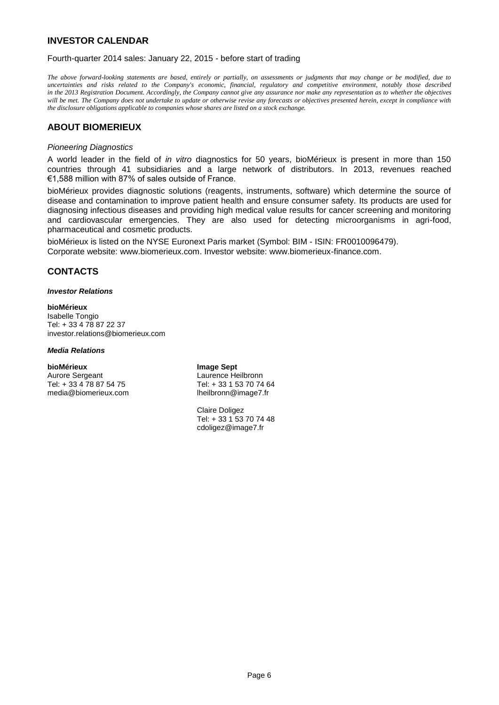# **INVESTOR CALENDAR**

Fourth-quarter 2014 sales: January 22, 2015 - before start of trading

*The above forward-looking statements are based, entirely or partially, on assessments or judgments that may change or be modified, due to uncertainties and risks related to the Company's economic, financial, regulatory and competitive environment, notably those described in the 2013 Registration Document. Accordingly, the Company cannot give any assurance nor make any representation as to whether the objectives will be met. The Company does not undertake to update or otherwise revise any forecasts or objectives presented herein, except in compliance with the disclosure obligations applicable to companies whose shares are listed on a stock exchange.*

## **ABOUT BIOMERIEUX**

#### *Pioneering Diagnostics*

A world leader in the field of *in vitro* diagnostics for 50 years, bioMérieux is present in more than 150 countries through 41 subsidiaries and a large network of distributors. In 2013, revenues reached €1,588 million with 87% of sales outside of France.

bioMérieux provides diagnostic solutions (reagents, instruments, software) which determine the source of disease and contamination to improve patient health and ensure consumer safety. Its products are used for diagnosing infectious diseases and providing high medical value results for cancer screening and monitoring and cardiovascular emergencies. They are also used for detecting microorganisms in agri-food, pharmaceutical and cosmetic products.

bioMérieux is listed on the NYSE Euronext Paris market (Symbol: BIM - ISIN: FR0010096479). Corporate website: www.biomerieux.com. Investor website: www.biomerieux-finance.com.

## **CONTACTS**

#### *Investor Relations*

#### **bioMérieux**

Isabelle Tongio Tel: + 33 4 78 87 22 37 investor.relations@biomerieux.com

#### *Media Relations*

#### **bioMérieux Image Sept**

Aurore Sergeant **Laurence Heilbronn**<br>
Tel: + 33 4 78 87 54 75 Tel: + 33 1 53 70 74 64 Tel: + 33 4 78 87 54 75 media@biomerieux.com lheilbronn@image7.fr

Claire Doligez Tel: + 33 1 53 70 74 48 cdoligez@image7.fr